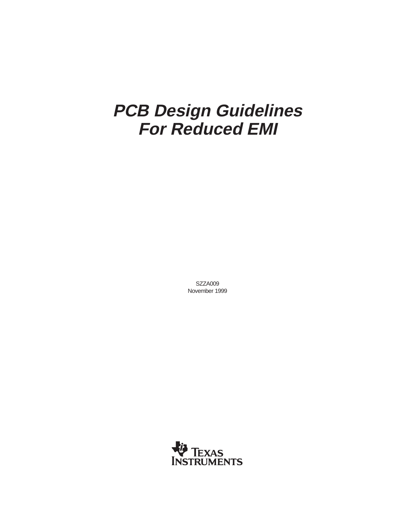# **PCB Design Guidelines For Reduced EMI**

SZZA009 November 1999

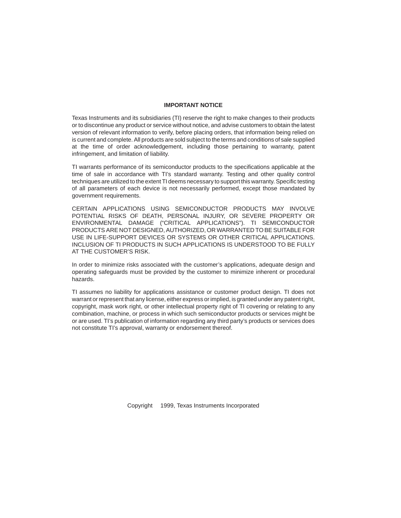#### **IMPORTANT NOTICE**

Texas Instruments and its subsidiaries (TI) reserve the right to make changes to their products or to discontinue any product or service without notice, and advise customers to obtain the latest version of relevant information to verify, before placing orders, that information being relied on is current and complete. All products are sold subject to the terms and conditions of sale supplied at the time of order acknowledgement, including those pertaining to warranty, patent infringement, and limitation of liability.

TI warrants performance of its semiconductor products to the specifications applicable at the time of sale in accordance with TI's standard warranty. Testing and other quality control techniques are utilized to the extent TI deems necessary to support this warranty. Specific testing of all parameters of each device is not necessarily performed, except those mandated by government requirements.

CERTAIN APPLICATIONS USING SEMICONDUCTOR PRODUCTS MAY INVOLVE POTENTIAL RISKS OF DEATH, PERSONAL INJURY, OR SEVERE PROPERTY OR ENVIRONMENTAL DAMAGE ("CRITICAL APPLICATIONS"). TI SEMICONDUCTOR PRODUCTS ARE NOT DESIGNED, AUTHORIZED, OR WARRANTED TO BE SUITABLE FOR USE IN LIFE-SUPPORT DEVICES OR SYSTEMS OR OTHER CRITICAL APPLICATIONS. INCLUSION OF TI PRODUCTS IN SUCH APPLICATIONS IS UNDERSTOOD TO BE FULLY AT THE CUSTOMER'S RISK.

In order to minimize risks associated with the customer's applications, adequate design and operating safeguards must be provided by the customer to minimize inherent or procedural hazards.

TI assumes no liability for applications assistance or customer product design. TI does not warrant or represent that any license, either express or implied, is granted under any patent right, copyright, mask work right, or other intellectual property right of TI covering or relating to any combination, machine, or process in which such semiconductor products or services might be or are used. TI's publication of information regarding any third party's products or services does not constitute TI's approval, warranty or endorsement thereof.

Copyright © 1999, Texas Instruments Incorporated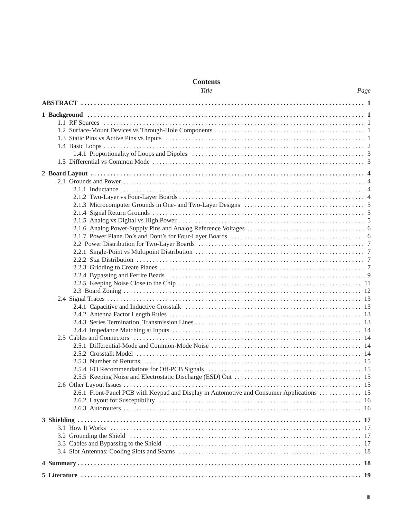# **Contents**

| Title                                                                                    | Page |
|------------------------------------------------------------------------------------------|------|
|                                                                                          |      |
|                                                                                          |      |
|                                                                                          |      |
|                                                                                          |      |
|                                                                                          |      |
|                                                                                          |      |
|                                                                                          |      |
|                                                                                          |      |
|                                                                                          |      |
|                                                                                          |      |
|                                                                                          |      |
|                                                                                          |      |
|                                                                                          |      |
|                                                                                          |      |
|                                                                                          |      |
|                                                                                          |      |
|                                                                                          |      |
|                                                                                          |      |
|                                                                                          |      |
|                                                                                          |      |
|                                                                                          |      |
|                                                                                          |      |
|                                                                                          |      |
|                                                                                          |      |
|                                                                                          |      |
|                                                                                          |      |
|                                                                                          |      |
|                                                                                          |      |
|                                                                                          |      |
|                                                                                          |      |
|                                                                                          |      |
|                                                                                          |      |
|                                                                                          |      |
|                                                                                          |      |
|                                                                                          |      |
|                                                                                          |      |
|                                                                                          |      |
| 2.6.1 Front-Panel PCB with Keypad and Display in Automotive and Consumer Applications 15 |      |
|                                                                                          |      |
|                                                                                          |      |
|                                                                                          |      |
|                                                                                          |      |
|                                                                                          |      |
|                                                                                          |      |
|                                                                                          |      |
|                                                                                          |      |
|                                                                                          |      |
|                                                                                          |      |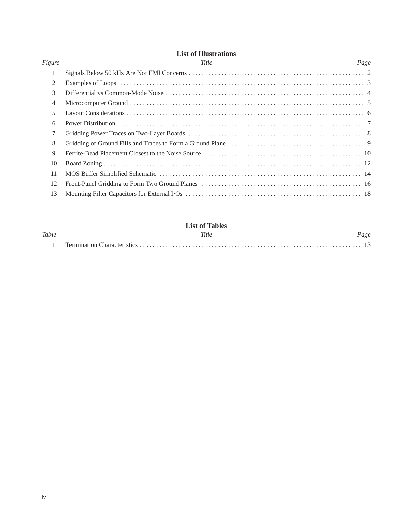# **List of Illustrations**

| Figure         | Title | Page |
|----------------|-------|------|
| 1              |       |      |
| $\overline{2}$ |       |      |
| 3              |       |      |
| 4              |       |      |
| 5              |       |      |
| 6              |       |      |
|                |       |      |
| 8              |       |      |
| 9              |       |      |
| 10             |       |      |
| 11             |       |      |
| 12             |       |      |
| 13             |       |      |

# **List of Tables** *Table Title Page* 1 Termination Characteristics . . . . . . . . . . . . . . . . . . . . . . . . . . . . . . . . . . . . . . . . . . . . . . . . . . . . . . . . . . . . . . . . . . . . 13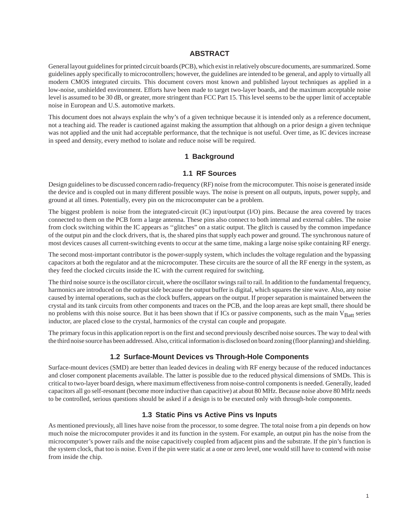#### **ABSTRACT**

General layout guidelines for printed circuit boards (PCB), which exist in relatively obscure documents, are summarized. Some guidelines apply specifically to microcontrollers; however, the guidelines are intended to be general, and apply to virtually all modern CMOS integrated circuits. This document covers most known and published layout techniques as applied in a low-noise, unshielded environment. Efforts have been made to target two-layer boards, and the maximum acceptable noise level is assumed to be 30 dB, or greater, more stringent than FCC Part 15. This level seems to be the upper limit of acceptable noise in European and U.S. automotive markets.

This document does not always explain the why's of a given technique because it is intended only as a reference document, not a teaching aid. The reader is cautioned against making the assumption that although on a prior design a given technique was not applied and the unit had acceptable performance, that the technique is not useful. Over time, as IC devices increase in speed and density, every method to isolate and reduce noise will be required.

### **1 Background**

# **1.1 RF Sources**

Design guidelines to be discussed concern radio-frequency (RF) noise from the microcomputer. This noise is generated inside the device and is coupled out in many different possible ways. The noise is present on all outputs, inputs, power supply, and ground at all times. Potentially, every pin on the microcomputer can be a problem.

The biggest problem is noise from the integrated-circuit (IC) input/output (I/O) pins. Because the area covered by traces connected to them on the PCB form a large antenna. These pins also connect to both internal and external cables. The noise from clock switching within the IC appears as ''glitches" on a static output. The glitch is caused by the common impedance of the output pin and the clock drivers, that is, the shared pins that supply each power and ground. The synchronous nature of most devices causes all current-switching events to occur at the same time, making a large noise spike containing RF energy.

The second most-important contributor is the power-supply system, which includes the voltage regulation and the bypassing capacitors at both the regulator and at the microcomputer. These circuits are the source of all the RF energy in the system, as they feed the clocked circuits inside the IC with the current required for switching.

The third noise source is the oscillator circuit, where the oscillator swings rail to rail. In addition to the fundamental frequency, harmonics are introduced on the output side because the output buffer is digital, which squares the sine wave. Also, any noise caused by internal operations, such as the clock buffers, appears on the output. If proper separation is maintained between the crystal and its tank circuits from other components and traces on the PCB, and the loop areas are kept small, there should be no problems with this noise source. But it has been shown that if ICs or passive components, such as the main  $V_{\rm Ratt}$  series inductor, are placed close to the crystal, harmonics of the crystal can couple and propagate.

The primary focus in this application report is on the first and second previously described noise sources. The way to deal with the third noise source has been addressed. Also, critical information is disclosed on board zoning (floor planning) and shielding.

### **1.2 Surface-Mount Devices vs Through-Hole Components**

Surface-mount devices (SMD) are better than leaded devices in dealing with RF energy because of the reduced inductances and closer component placements available. The latter is possible due to the reduced physical dimensions of SMDs. This is critical to two-layer board design, where maximum effectiveness from noise-control components is needed. Generally, leaded capacitors all go self-resonant (become more inductive than capacitive) at about 80 MHz. Because noise above 80 MHz needs to be controlled, serious questions should be asked if a design is to be executed only with through-hole components.

### **1.3 Static Pins vs Active Pins vs Inputs**

As mentioned previously, all lines have noise from the processor, to some degree. The total noise from a pin depends on how much noise the microcomputer provides it and its function in the system. For example, an output pin has the noise from the microcomputer's power rails and the noise capacitively coupled from adjacent pins and the substrate. If the pin's function is the system clock, that too is noise. Even if the pin were static at a one or zero level, one would still have to contend with noise from inside the chip.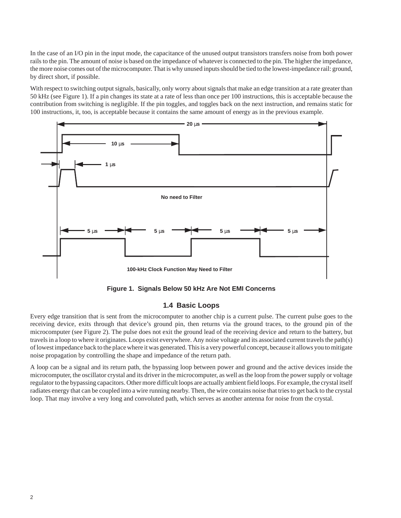In the case of an I/O pin in the input mode, the capacitance of the unused output transistors transfers noise from both power rails to the pin. The amount of noise is based on the impedance of whatever is connected to the pin. The higher the impedance, the more noise comes out of the microcomputer. That is why unused inputs should be tied to the lowest-impedance rail: ground, by direct short, if possible.

With respect to switching output signals, basically, only worry about signals that make an edge transition at a rate greater than 50 kHz (see Figure 1). If a pin changes its state at a rate of less than once per 100 instructions, this is acceptable because the contribution from switching is negligible. If the pin toggles, and toggles back on the next instruction, and remains static for 100 instructions, it, too, is acceptable because it contains the same amount of energy as in the previous example.



**Figure 1. Signals Below 50 kHz Are Not EMI Concerns**

### **1.4 Basic Loops**

Every edge transition that is sent from the microcomputer to another chip is a current pulse. The current pulse goes to the receiving device, exits through that device's ground pin, then returns via the ground traces, to the ground pin of the microcomputer (see Figure 2). The pulse does not exit the ground lead of the receiving device and return to the battery, but travels in a loop to where it originates. Loops exist everywhere. Any noise voltage and its associated current travels the path(s) of lowest impedance back to the place where it was generated. This is a very powerful concept, because it allows you to mitigate noise propagation by controlling the shape and impedance of the return path.

A loop can be a signal and its return path, the bypassing loop between power and ground and the active devices inside the microcomputer, the oscillator crystal and its driver in the microcomputer, as well as the loop from the power supply or voltage regulator to the bypassing capacitors. Other more difficult loops are actually ambient field loops. For example, the crystal itself radiates energy that can be coupled into a wire running nearby. Then, the wire contains noise that tries to get back to the crystal loop. That may involve a very long and convoluted path, which serves as another antenna for noise from the crystal.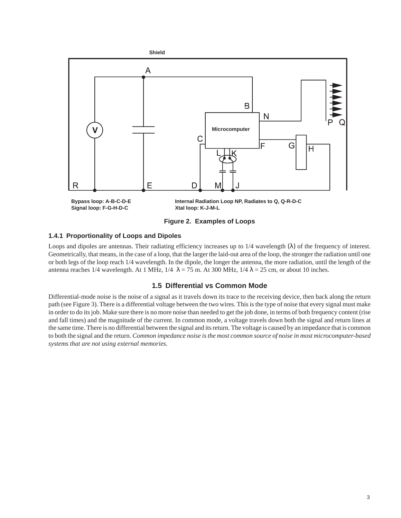

**Figure 2. Examples of Loops**

# **1.4.1 Proportionality of Loops and Dipoles**

Loops and dipoles are antennas. Their radiating efficiency increases up to  $1/4$  wavelength  $(\lambda)$  of the frequency of interest. Geometrically, that means, in the case of a loop, that the larger the laid-out area of the loop, the stronger the radiation until one or both legs of the loop reach 1/4 wavelength. In the dipole, the longer the antenna, the more radiation, until the length of the antenna reaches 1/4 wavelength. At 1 MHz,  $1/4$   $\lambda = 75$  m. At 300 MHz,  $1/4$   $\lambda = 25$  cm, or about 10 inches.

# **1.5 Differential vs Common Mode**

Differential-mode noise is the noise of a signal as it travels down its trace to the receiving device, then back along the return path (see Figure 3). There is a differential voltage between the two wires. This is the type of noise that every signal must make in order to do its job. Make sure there is no more noise than needed to get the job done, in terms of both frequency content (rise and fall times) and the magnitude of the current. In common mode, a voltage travels down both the signal and return lines at the same time. There is no differential between the signal and its return. The voltage is caused by an impedance that is common to both the signal and the return. *Common impedance noise is the most common source of noise in most microcomputer-based systems that are not using external memories.*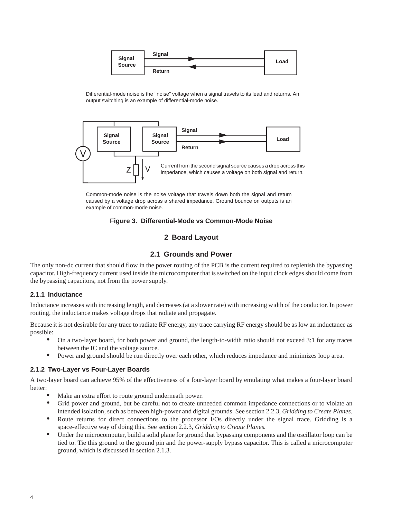

Differential-mode noise is the ''noise" voltage when a signal travels to its lead and returns. An output switching is an example of differential-mode noise.



Common-mode noise is the noise voltage that travels down both the signal and return caused by a voltage drop across a shared impedance. Ground bounce on outputs is an example of common-mode noise.

#### **Figure 3. Differential-Mode vs Common-Mode Noise**

# **2 Board Layout**

### **2.1 Grounds and Power**

The only non-dc current that should flow in the power routing of the PCB is the current required to replenish the bypassing capacitor. High-frequency current used inside the microcomputer that is switched on the input clock edges should come from the bypassing capacitors, not from the power supply.

#### **2.1.1 Inductance**

Inductance increases with increasing length, and decreases (at a slower rate) with increasing width of the conductor. In power routing, the inductance makes voltage drops that radiate and propagate.

Because it is not desirable for any trace to radiate RF energy, any trace carrying RF energy should be as low an inductance as possible:

- On a two-layer board, for both power and ground, the length-to-width ratio should not exceed 3:1 for any traces between the IC and the voltage source.
- Power and ground should be run directly over each other, which reduces impedance and minimizes loop area.

#### **2.1.2 Two-Layer vs Four-Layer Boards**

A two-layer board can achieve 95% of the effectiveness of a four-layer board by emulating what makes a four-layer board better:

- Make an extra effort to route ground underneath power.
- Grid power and ground, but be careful not to create unneeded common impedance connections or to violate an intended isolation, such as between high-power and digital grounds. See section 2.2.3, *Gridding to Create Planes.*
- Route returns for direct connections to the processor I/Os directly under the signal trace. Gridding is a space-effective way of doing this. See section 2.2.3, *Gridding to Create Planes.*
- Under the microcomputer, build a solid plane for ground that bypassing components and the oscillator loop can be tied to. Tie this ground to the ground pin and the power-supply bypass capacitor. This is called a microcomputer ground, which is discussed in section 2.1.3.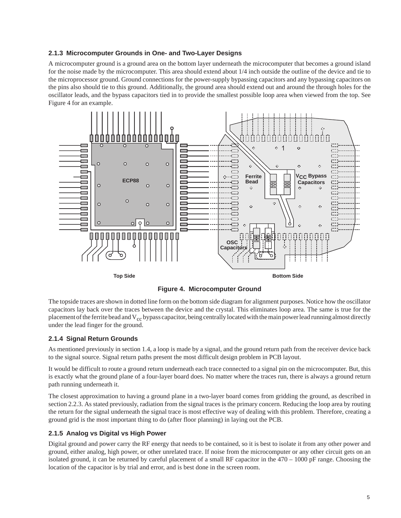#### **2.1.3 Microcomputer Grounds in One- and Two-Layer Designs**

A microcomputer ground is a ground area on the bottom layer underneath the microcomputer that becomes a ground island for the noise made by the microcomputer. This area should extend about 1/4 inch outside the outline of the device and tie to the microprocessor ground. Ground connections for the power-supply bypassing capacitors and any bypassing capacitors on the pins also should tie to this ground. Additionally, the ground area should extend out and around the through holes for the oscillator leads, and the bypass capacitors tied in to provide the smallest possible loop area when viewed from the top. See Figure 4 for an example.



**Figure 4. Microcomputer Ground**

The topside traces are shown in dotted line form on the bottom side diagram for alignment purposes. Notice how the oscillator capacitors lay back over the traces between the device and the crystal. This eliminates loop area. The same is true for the placement of the ferrite bead and V<sub>cc</sub> bypass capacitor, being centrally located with the main power lead running almost directly under the lead finger for the ground.

### **2.1.4 Signal Return Grounds**

As mentioned previously in section 1.4, a loop is made by a signal, and the ground return path from the receiver device back to the signal source. Signal return paths present the most difficult design problem in PCB layout.

It would be difficult to route a ground return underneath each trace connected to a signal pin on the microcomputer. But, this is exactly what the ground plane of a four-layer board does. No matter where the traces run, there is always a ground return path running underneath it.

The closest approximation to having a ground plane in a two-layer board comes from gridding the ground, as described in section 2.2.3. As stated previously, radiation from the signal traces is the primary concern. Reducing the loop area by routing the return for the signal underneath the signal trace is most effective way of dealing with this problem. Therefore, creating a ground grid is the most important thing to do (after floor planning) in laying out the PCB.

### **2.1.5 Analog vs Digital vs High Power**

Digital ground and power carry the RF energy that needs to be contained, so it is best to isolate it from any other power and ground, either analog, high power, or other unrelated trace. If noise from the microcomputer or any other circuit gets on an isolated ground, it can be returned by careful placement of a small RF capacitor in the  $470 - 1000$  pF range. Choosing the location of the capacitor is by trial and error, and is best done in the screen room.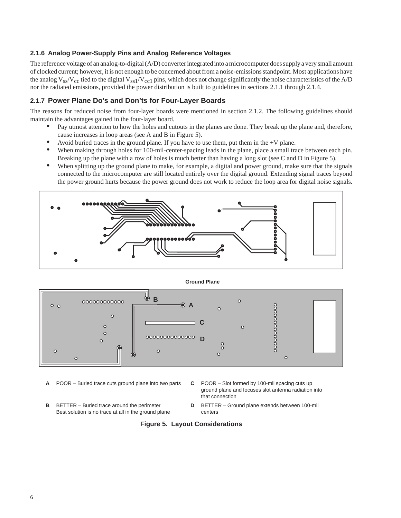#### **2.1.6 Analog Power-Supply Pins and Analog Reference Voltages**

The reference voltage of an analog-to-digital (A/D) converter integrated into a microcomputer does supply a very small amount of clocked current; however, it is not enough to be concerned about from a noise-emissions standpoint. Most applications have the analog  $V_{ss}/V_{cc}$  tied to the digital  $V_{ss1}/V_{cc1}$  pins, which does not change significantly the noise characteristics of the A/D nor the radiated emissions, provided the power distribution is built to guidelines in sections 2.1.1 through 2.1.4.

#### **2.1.7 Power Plane Do's and Don'ts for Four-Layer Boards**

The reasons for reduced noise from four-layer boards were mentioned in section 2.1.2. The following guidelines should maintain the advantages gained in the four-layer board.

- Pay utmost attention to how the holes and cutouts in the planes are done. They break up the plane and, therefore, cause increases in loop areas (see A and B in Figure 5).
- Avoid buried traces in the ground plane. If you have to use them, put them in the  $+V$  plane.
- When making through holes for 100-mil-center-spacing leads in the plane, place a small trace between each pin. Breaking up the plane with a row of holes is much better than having a long slot (see C and D in Figure 5).
- When splitting up the ground plane to make, for example, a digital and power ground, make sure that the signals connected to the microcomputer are still located entirely over the digital ground. Extending signal traces beyond the power ground hurts because the power ground does not work to reduce the loop area for digital noise signals.



**Ground Plane**



- **A** POOR Buried trace cuts ground plane into two parts **C** POOR Slot formed by 100-mil spacing cuts up
- **B** BETTER Buried trace around the perimeter Best solution is no trace at all in the ground plane
- ground plane and focuses slot antenna radiation into that connection
- **D** BETTER Ground plane extends between 100-mil centers

**Figure 5. Layout Considerations**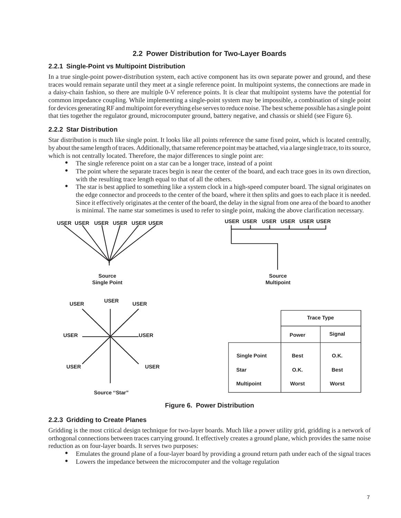# **2.2 Power Distribution for Two-Layer Boards**

### **2.2.1 Single-Point vs Multipoint Distribution**

In a true single-point power-distribution system, each active component has its own separate power and ground, and these traces would remain separate until they meet at a single reference point. In multipoint systems, the connections are made in a daisy-chain fashion, so there are multiple 0-V reference points. It is clear that multipoint systems have the potential for common impedance coupling. While implementing a single-point system may be impossible, a combination of single point for devices generating RF and multipoint for everything else serves to reduce noise. The best scheme possible has a single point that ties together the regulator ground, microcomputer ground, battery negative, and chassis or shield (see Figure 6).

#### **2.2.2 Star Distribution**

Star distribution is much like single point. It looks like all points reference the same fixed point, which is located centrally, by about the same length of traces. Additionally, that same reference point may be attached, via a large single trace, to its source, which is not centrally located. Therefore, the major differences to single point are:

- The single reference point on a star can be a longer trace, instead of a point
- The point where the separate traces begin is near the center of the board, and each trace goes in its own direction, with the resulting trace length equal to that of all the others.
- The star is best applied to something like a system clock in a high-speed computer board. The signal originates on the edge connector and proceeds to the center of the board, where it then splits and goes to each place it is needed. Since it effectively originates at the center of the board, the delay in the signal from one area of the board to another is minimal. The name star sometimes is used to refer to single point, making the above clarification necessary.



**Figure 6. Power Distribution**

#### **2.2.3 Gridding to Create Planes**

Gridding is the most critical design technique for two-layer boards. Much like a power utility grid, gridding is a network of orthogonal connections between traces carrying ground. It effectively creates a ground plane, which provides the same noise reduction as on four-layer boards. It serves two purposes:

- Emulates the ground plane of a four-layer board by providing a ground return path under each of the signal traces
- Lowers the impedance between the microcomputer and the voltage regulation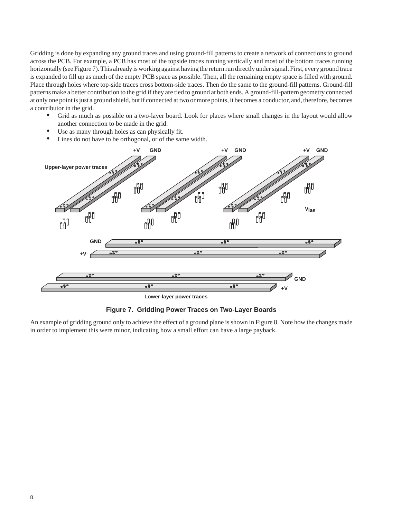Gridding is done by expanding any ground traces and using ground-fill patterns to create a network of connections to ground across the PCB. For example, a PCB has most of the topside traces running vertically and most of the bottom traces running horizontally (see Figure 7). This already is working against having the return run directly under signal. First, every ground trace is expanded to fill up as much of the empty PCB space as possible. Then, all the remaining empty space is filled with ground. Place through holes where top-side traces cross bottom-side traces. Then do the same to the ground-fill patterns. Ground-fill patterns make a better contribution to the grid if they are tied to ground at both ends. A ground-fill-pattern geometry connected at only one point is just a ground shield, but if connected at two or more points, it becomes a conductor, and, therefore, becomes a contributor in the grid.

- Grid as much as possible on a two-layer board. Look for places where small changes in the layout would allow another connection to be made in the grid.
- Use as many through holes as can physically fit.
- Lines do not have to be orthogonal, or of the same width.



**Figure 7. Gridding Power Traces on Two-Layer Boards**

An example of gridding ground only to achieve the effect of a ground plane is shown in Figure 8. Note how the changes made in order to implement this were minor, indicating how a small effort can have a large payback.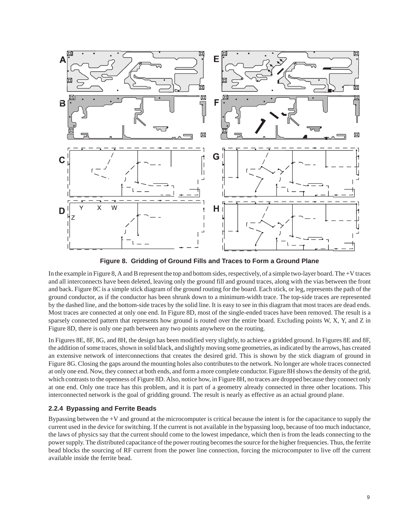

**Figure 8. Gridding of Ground Fills and Traces to Form a Ground Plane**

In the example in Figure 8, A and B represent the top and bottom sides, respectively, of a simple two-layer board. The +V traces and all interconnects have been deleted, leaving only the ground fill and ground traces, along with the vias between the front and back. Figure 8C is a simple stick diagram of the ground routing for the board. Each stick, or leg, represents the path of the ground conductor, as if the conductor has been shrunk down to a minimum-width trace. The top-side traces are represented by the dashed line, and the bottom-side traces by the solid line. It is easy to see in this diagram that most traces are dead ends. Most traces are connected at only one end. In Figure 8D, most of the single-ended traces have been removed. The result is a sparsely connected pattern that represents how ground is routed over the entire board. Excluding points W, X, Y, and Z in Figure 8D, there is only one path between any two points anywhere on the routing.

In Figures 8E, 8F, 8G, and 8H, the design has been modified very slightly, to achieve a gridded ground. In Figures 8E and 8F, the addition of some traces, shown in solid black, and slightly moving some geometries, as indicated by the arrows, has created an extensive network of interconnections that creates the desired grid. This is shown by the stick diagram of ground in Figure 8G. Closing the gaps around the mounting holes also contributes to the network. No longer are whole traces connected at only one end. Now, they connect at both ends, and form a more complete conductor. Figure 8H shows the density of the grid, which contrasts to the openness of Figure 8D. Also, notice how, in Figure 8H, no traces are dropped because they connect only at one end. Only one trace has this problem, and it is part of a geometry already connected in three other locations. This interconnected network is the goal of gridding ground. The result is nearly as effective as an actual ground plane.

### **2.2.4 Bypassing and Ferrite Beads**

Bypassing between the +V and ground at the microcomputer is critical because the intent is for the capacitance to supply the current used in the device for switching. If the current is not available in the bypassing loop, because of too much inductance, the laws of physics say that the current should come to the lowest impedance, which then is from the leads connecting to the power supply. The distributed capacitance of the power routing becomes the source for the higher frequencies. Thus, the ferrite bead blocks the sourcing of RF current from the power line connection, forcing the microcomputer to live off the current available inside the ferrite bead.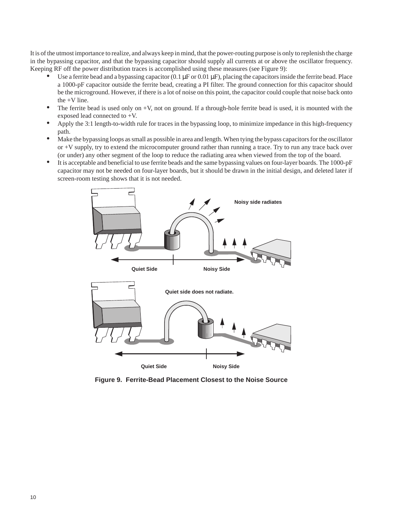It is of the utmost importance to realize, and always keep in mind, that the power-routing purpose is only to replenish the charge in the bypassing capacitor, and that the bypassing capacitor should supply all currents at or above the oscillator frequency. Keeping RF off the power distribution traces is accomplished using these measures (see Figure 9):

- Use a ferrite bead and a bypassing capacitor  $(0.1 \mu F)$  or  $(0.01 \mu F)$ , placing the capacitors inside the ferrite bead. Place a 1000-pF capacitor outside the ferrite bead, creating a PI filter. The ground connection for this capacitor should be the microground. However, if there is a lot of noise on this point, the capacitor could couple that noise back onto the +V line.
- The ferrite bead is used only on +V, not on ground. If a through-hole ferrite bead is used, it is mounted with the exposed lead connected to +V.
- Apply the 3:1 length-to-width rule for traces in the bypassing loop, to minimize impedance in this high-frequency path.
- Make the bypassing loops as small as possible in area and length. When tying the bypass capacitors for the oscillator or +V supply, try to extend the microcomputer ground rather than running a trace. Try to run any trace back over (or under) any other segment of the loop to reduce the radiating area when viewed from the top of the board.
- It is acceptable and beneficial to use ferrite beads and the same bypassing values on four-layer boards. The 1000-pF capacitor may not be needed on four-layer boards, but it should be drawn in the initial design, and deleted later if screen-room testing shows that it is not needed.



**Figure 9. Ferrite-Bead Placement Closest to the Noise Source**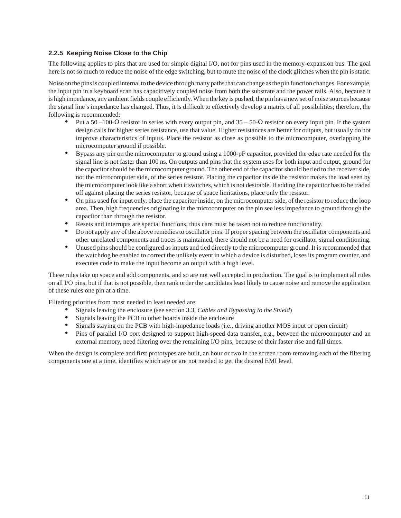#### **2.2.5 Keeping Noise Close to the Chip**

The following applies to pins that are used for simple digital I/O, not for pins used in the memory-expansion bus. The goal here is not so much to reduce the noise of the edge switching, but to mute the noise of the clock glitches when the pin is static.

Noise on the pins is coupled internal to the device through many paths that can change as the pin function changes. For example, the input pin in a keyboard scan has capacitively coupled noise from both the substrate and the power rails. Also, because it is high impedance, any ambient fields couple efficiently. When the key is pushed, the pin has a new set of noise sources because the signal line's impedance has changed. Thus, it is difficult to effectively develop a matrix of all possibilities; therefore, the following is recommended:

- Put a  $50 100 \Omega$  resistor in series with every output pin, and  $35 50 \Omega$  resistor on every input pin. If the system design calls for higher series resistance, use that value. Higher resistances are better for outputs, but usually do not improve characteristics of inputs. Place the resistor as close as possible to the microcomputer, overlapping the microcomputer ground if possible.
- Bypass any pin on the microcomputer to ground using a 1000-pF capacitor, provided the edge rate needed for the signal line is not faster than 100 ns. On outputs and pins that the system uses for both input and output, ground for the capacitor should be the microcomputer ground. The other end of the capacitor should be tied to the receiver side, not the microcomputer side, of the series resistor. Placing the capacitor inside the resistor makes the load seen by the microcomputer look like a short when it switches, which is not desirable. If adding the capacitor has to be traded off against placing the series resistor, because of space limitations, place only the resistor.
- On pins used for input only, place the capacitor inside, on the microcomputer side, of the resistor to reduce the loop area. Then, high frequencies originating in the microcomputer on the pin see less impedance to ground through the capacitor than through the resistor.
- Resets and interrupts are special functions, thus care must be taken not to reduce functionality.
- Do not apply any of the above remedies to oscillator pins. If proper spacing between the oscillator components and other unrelated components and traces is maintained, there should not be a need for oscillator signal conditioning.
- Unused pins should be configured as inputs and tied directly to the microcomputer ground. It is recommended that the watchdog be enabled to correct the unlikely event in which a device is disturbed, loses its program counter, and executes code to make the input become an output with a high level.

These rules take up space and add components, and so are not well accepted in production. The goal is to implement all rules on all I/O pins, but if that is not possible, then rank order the candidates least likely to cause noise and remove the application of these rules one pin at a time.

Filtering priorities from most needed to least needed are:

- Signals leaving the enclosure (see section 3.3, *Cables and Bypassing to the Shield*)
- Signals leaving the PCB to other boards inside the enclosure
- Signals staying on the PCB with high-impedance loads (i.e., driving another MOS input or open circuit)
- Pins of parallel I/O port designed to support high-speed data transfer, e.g., between the microcomputer and an external memory, need filtering over the remaining I/O pins, because of their faster rise and fall times.

When the design is complete and first prototypes are built, an hour or two in the screen room removing each of the filtering components one at a time, identifies which are or are not needed to get the desired EMI level.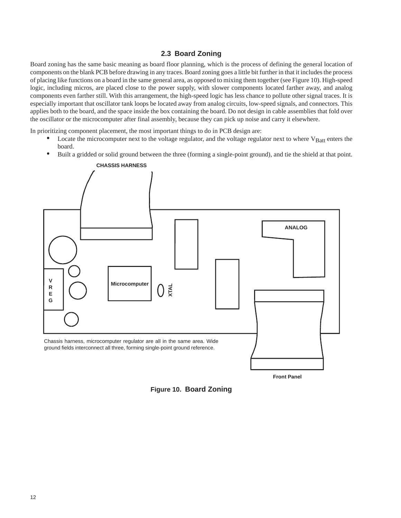# **2.3 Board Zoning**

Board zoning has the same basic meaning as board floor planning, which is the process of defining the general location of components on the blank PCB before drawing in any traces. Board zoning goes a little bit further in that it includes the process of placing like functions on a board in the same general area, as opposed to mixing them together (see Figure 10). High-speed logic, including micros, are placed close to the power supply, with slower components located farther away, and analog components even farther still. With this arrangement, the high-speed logic has less chance to pollute other signal traces. It is especially important that oscillator tank loops be located away from analog circuits, low-speed signals, and connectors. This applies both to the board, and the space inside the box containing the board. Do not design in cable assemblies that fold over the oscillator or the microcomputer after final assembly, because they can pick up noise and carry it elsewhere.

In prioritizing component placement, the most important things to do in PCB design are:

- Locate the microcomputer next to the voltage regulator, and the voltage regulator next to where  $V_{Batt}$  enters the board.
- Built a gridded or solid ground between the three (forming a single-point ground), and tie the shield at that point.



**Front Panel**

**Figure 10. Board Zoning**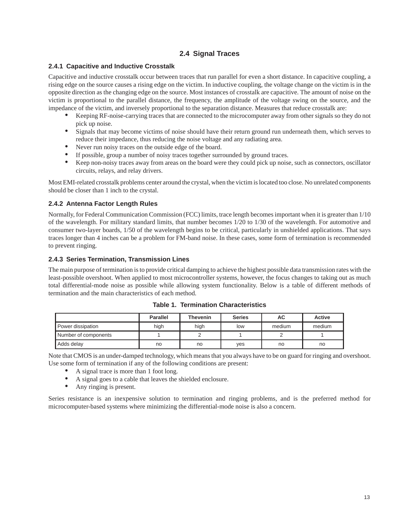# **2.4 Signal Traces**

#### **2.4.1 Capacitive and Inductive Crosstalk**

Capacitive and inductive crosstalk occur between traces that run parallel for even a short distance. In capacitive coupling, a rising edge on the source causes a rising edge on the victim. In inductive coupling, the voltage change on the victim is in the opposite direction as the changing edge on the source. Most instances of crosstalk are capacitive. The amount of noise on the victim is proportional to the parallel distance, the frequency, the amplitude of the voltage swing on the source, and the impedance of the victim, and inversely proportional to the separation distance. Measures that reduce crosstalk are:

- Keeping RF-noise-carrying traces that are connected to the microcomputer away from other signals so they do not pick up noise.
- Signals that may become victims of noise should have their return ground run underneath them, which serves to reduce their impedance, thus reducing the noise voltage and any radiating area.
- Never run noisy traces on the outside edge of the board.
- If possible, group a number of noisy traces together surrounded by ground traces.
- Keep non-noisy traces away from areas on the board were they could pick up noise, such as connectors, oscillator circuits, relays, and relay drivers.

Most EMI-related crosstalk problems center around the crystal, when the victim is located too close. No unrelated components should be closer than 1 inch to the crystal.

#### **2.4.2 Antenna Factor Length Rules**

Normally, for Federal Communication Commission (FCC) limits, trace length becomes important when it is greater than 1/10 of the wavelength. For military standard limits, that number becomes 1/20 to 1/30 of the wavelength. For automotive and consumer two-layer boards, 1/50 of the wavelength begins to be critical, particularly in unshielded applications. That says traces longer than 4 inches can be a problem for FM-band noise. In these cases, some form of termination is recommended to prevent ringing.

#### **2.4.3 Series Termination, Transmission Lines**

The main purpose of termination is to provide critical damping to achieve the highest possible data transmission rates with the least-possible overshoot. When applied to most microcontroller systems, however, the focus changes to taking out as much total differential-mode noise as possible while allowing system functionality. Below is a table of different methods of termination and the main characteristics of each method.

|                      | <b>Parallel</b> | <b>Thevenin</b> | <b>Series</b> | АC     | <b>Active</b> |
|----------------------|-----------------|-----------------|---------------|--------|---------------|
| Power dissipation    | high            | high            | low           | medium | medium        |
| Number of components |                 |                 |               |        |               |
| Adds delav           | no              | no              | yes           | no     | no            |

**Table 1. Termination Characteristics**

Note that CMOS is an under-damped technology, which means that you always have to be on guard for ringing and overshoot. Use some form of termination if any of the following conditions are present:

- A signal trace is more than 1 foot long.
- A signal goes to a cable that leaves the shielded enclosure.
- Any ringing is present.

Series resistance is an inexpensive solution to termination and ringing problems, and is the preferred method for microcomputer-based systems where minimizing the differential-mode noise is also a concern.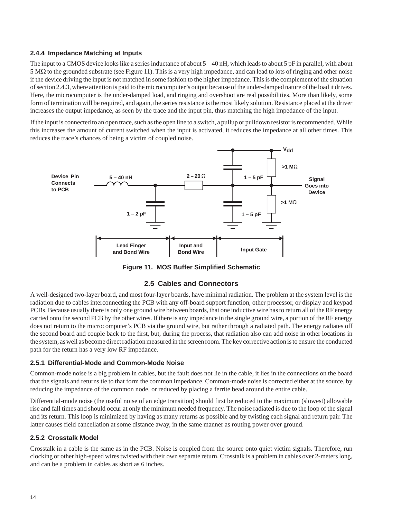#### **2.4.4 Impedance Matching at Inputs**

The input to a CMOS device looks like a series inductance of about  $5-40$  nH, which leads to about  $5$  pF in parallel, with about 5 MΩ to the grounded substrate (see Figure 11). This is a very high impedance, and can lead to lots of ringing and other noise if the device driving the input is not matched in some fashion to the higher impedance. This is the complement of the situation of section 2.4.3, where attention is paid to the microcomputer's output because of the under-damped nature of the load it drives. Here, the microcomputer is the under-damped load, and ringing and overshoot are real possibilities. More than likely, some form of termination will be required, and again, the series resistance is the most likely solution. Resistance placed at the driver increases the output impedance, as seen by the trace and the input pin, thus matching the high impedance of the input.

If the input is connected to an open trace, such as the open line to a switch, a pullup or pulldown resistor is recommended. While this increases the amount of current switched when the input is activated, it reduces the impedance at all other times. This reduces the trace's chances of being a victim of coupled noise.



**Figure 11. MOS Buffer Simplified Schematic**

### **2.5 Cables and Connectors**

A well-designed two-layer board, and most four-layer boards, have minimal radiation. The problem at the system level is the radiation due to cables interconnecting the PCB with any off-board support function, other processor, or display and keypad PCBs. Because usually there is only one ground wire between boards, that one inductive wire has to return all of the RF energy carried onto the second PCB by the other wires. If there is any impedance in the single ground wire, a portion of the RF energy does not return to the microcomputer's PCB via the ground wire, but rather through a radiated path. The energy radiates off the second board and couple back to the first, but, during the process, that radiation also can add noise in other locations in the system, as well as become direct radiation measured in the screen room. The key corrective action is to ensure the conducted path for the return has a very low RF impedance.

### **2.5.1 Differential-Mode and Common-Mode Noise**

Common-mode noise is a big problem in cables, but the fault does not lie in the cable, it lies in the connections on the board that the signals and returns tie to that form the common impedance. Common-mode noise is corrected either at the source, by reducing the impedance of the common node, or reduced by placing a ferrite bead around the entire cable.

Differential-mode noise (the useful noise of an edge transition) should first be reduced to the maximum (slowest) allowable rise and fall times and should occur at only the minimum needed frequency. The noise radiated is due to the loop of the signal and its return. This loop is minimized by having as many returns as possible and by twisting each signal and return pair. The latter causes field cancellation at some distance away, in the same manner as routing power over ground.

### **2.5.2 Crosstalk Model**

Crosstalk in a cable is the same as in the PCB. Noise is coupled from the source onto quiet victim signals. Therefore, run clocking or other high-speed wires twisted with their own separate return. Crosstalk is a problem in cables over 2-meters long, and can be a problem in cables as short as 6 inches.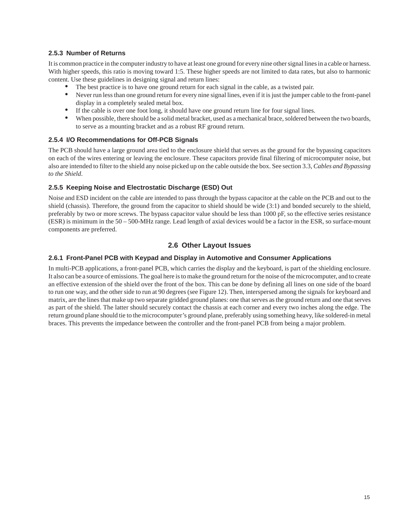### **2.5.3 Number of Returns**

It is common practice in the computer industry to have at least one ground for every nine other signal lines in a cable or harness. With higher speeds, this ratio is moving toward 1:5. These higher speeds are not limited to data rates, but also to harmonic content. Use these guidelines in designing signal and return lines:

- The best practice is to have one ground return for each signal in the cable, as a twisted pair.
- Never run less than one ground return for every nine signal lines, even if it is just the jumper cable to the front-panel display in a completely sealed metal box.
- If the cable is over one foot long, it should have one ground return line for four signal lines.
- When possible, there should be a solid metal bracket, used as a mechanical brace, soldered between the two boards, to serve as a mounting bracket and as a robust RF ground return.

#### **2.5.4 I/O Recommendations for Off-PCB Signals**

The PCB should have a large ground area tied to the enclosure shield that serves as the ground for the bypassing capacitors on each of the wires entering or leaving the enclosure. These capacitors provide final filtering of microcomputer noise, but also are intended to filter to the shield any noise picked up on the cable outside the box. See section 3.3, *Cables and Bypassing to the Shield*.

### **2.5.5 Keeping Noise and Electrostatic Discharge (ESD) Out**

Noise and ESD incident on the cable are intended to pass through the bypass capacitor at the cable on the PCB and out to the shield (chassis). Therefore, the ground from the capacitor to shield should be wide (3:1) and bonded securely to the shield, preferably by two or more screws. The bypass capacitor value should be less than 1000 pF, so the effective series resistance (ESR) is minimum in the 50 – 500-MHz range. Lead length of axial devices would be a factor in the ESR, so surface-mount components are preferred.

# **2.6 Other Layout Issues**

#### **2.6.1 Front-Panel PCB with Keypad and Display in Automotive and Consumer Applications**

In multi-PCB applications, a front-panel PCB, which carries the display and the keyboard, is part of the shielding enclosure. It also can be a source of emissions. The goal here is to make the ground return for the noise of the microcomputer, and to create an effective extension of the shield over the front of the box. This can be done by defining all lines on one side of the board to run one way, and the other side to run at 90 degrees (see Figure 12). Then, interspersed among the signals for keyboard and matrix, are the lines that make up two separate gridded ground planes: one that serves as the ground return and one that serves as part of the shield. The latter should securely contact the chassis at each corner and every two inches along the edge. The return ground plane should tie to the microcomputer's ground plane, preferably using something heavy, like soldered-in metal braces. This prevents the impedance between the controller and the front-panel PCB from being a major problem.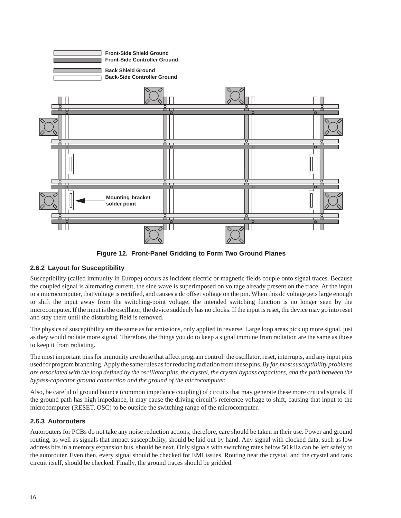

**Figure 12. Front-Panel Gridding to Form Two Ground Planes**

# **2.6.2 Layout for Susceptibility**

Susceptibility (called immunity in Europe) occurs as incident electric or magnetic fields couple onto signal traces. Because the coupled signal is alternating current, the sine wave is superimposed on voltage already present on the trace. At the input to a microcomputer, that voltage is rectified, and causes a dc offset voltage on the pin. When this dc voltage gets large enough to shift the input away from the switching-point voltage, the intended switching function is no longer seen by the microcomputer. If the input is the oscillator, the device suddenly has no clocks. If the input is reset, the device may go into reset and stay there until the disturbing field is removed.

The physics of susceptibility are the same as for emissions, only applied in reverse. Large loop areas pick up more signal, just as they would radiate more signal. Therefore, the things you do to keep a signal immune from radiation are the same as those to keep it from radiating.

The most important pins for immunity are those that affect program control: the oscillator, reset, interrupts, and any input pins used for program branching. Apply the same rules as for reducing radiation from these pins. *By far, most susceptibility problems are associated with the loop defined by the oscillator pins, the crystal, the crystal bypass capacitors, and the path between the bypass-capacitor ground connection and the ground of the microcomputer.*

Also, be careful of ground bounce (common impedance coupling) of circuits that may generate these more critical signals. If the ground path has high impedance, it may cause the driving circuit's reference voltage to shift, causing that input to the microcomputer (RESET, OSC) to be outside the switching range of the microcomputer.

### **2.6.3 Autorouters**

Autorouters for PCBs do not take any noise reduction actions; therefore, care should be taken in their use. Power and ground routing, as well as signals that impact susceptibility, should be laid out by hand. Any signal with clocked data, such as low address bits in a memory expansion bus, should be next. Only signals with switching rates below 50 kHz can be left safely to the autorouter. Even then, every signal should be checked for EMI issues. Routing near the crystal, and the crystal and tank circuit itself, should be checked. Finally, the ground traces should be gridded.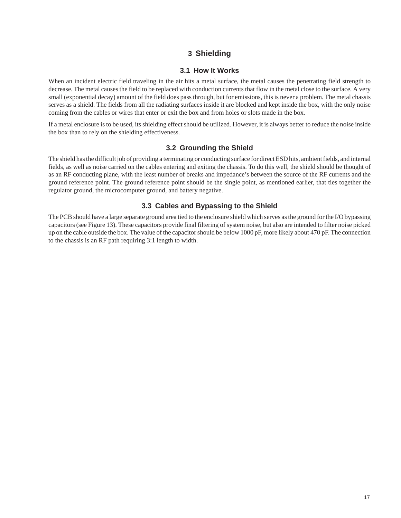# **3 Shielding**

#### **3.1 How It Works**

When an incident electric field traveling in the air hits a metal surface, the metal causes the penetrating field strength to decrease. The metal causes the field to be replaced with conduction currents that flow in the metal close to the surface. A very small (exponential decay) amount of the field does pass through, but for emissions, this is never a problem. The metal chassis serves as a shield. The fields from all the radiating surfaces inside it are blocked and kept inside the box, with the only noise coming from the cables or wires that enter or exit the box and from holes or slots made in the box.

If a metal enclosure is to be used, its shielding effect should be utilized. However, it is always better to reduce the noise inside the box than to rely on the shielding effectiveness.

#### **3.2 Grounding the Shield**

The shield has the difficult job of providing a terminating or conducting surface for direct ESD hits, ambient fields, and internal fields, as well as noise carried on the cables entering and exiting the chassis. To do this well, the shield should be thought of as an RF conducting plane, with the least number of breaks and impedance's between the source of the RF currents and the ground reference point. The ground reference point should be the single point, as mentioned earlier, that ties together the regulator ground, the microcomputer ground, and battery negative.

#### **3.3 Cables and Bypassing to the Shield**

The PCB should have a large separate ground area tied to the enclosure shield which serves as the ground for the I/O bypassing capacitors (see Figure 13). These capacitors provide final filtering of system noise, but also are intended to filter noise picked up on the cable outside the box. The value of the capacitor should be below 1000 pF, more likely about 470 pF. The connection to the chassis is an RF path requiring 3:1 length to width.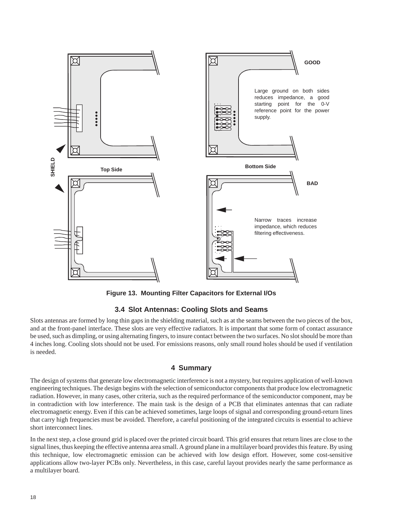

**Figure 13. Mounting Filter Capacitors for External I/Os**

# **3.4 Slot Antennas: Cooling Slots and Seams**

Slots antennas are formed by long thin gaps in the shielding material, such as at the seams between the two pieces of the box, and at the front-panel interface. These slots are very effective radiators. It is important that some form of contact assurance be used, such as dimpling, or using alternating fingers, to insure contact between the two surfaces. No slot should be more than 4 inches long. Cooling slots should not be used. For emissions reasons, only small round holes should be used if ventilation is needed.

#### **4 Summary**

The design of systems that generate low electromagnetic interference is not a mystery, but requires application of well-known engineering techniques. The design begins with the selection of semiconductor components that produce low electromagnetic radiation. However, in many cases, other criteria, such as the required performance of the semiconductor component, may be in contradiction with low interference. The main task is the design of a PCB that eliminates antennas that can radiate electromagnetic energy. Even if this can be achieved sometimes, large loops of signal and corresponding ground-return lines that carry high frequencies must be avoided. Therefore, a careful positioning of the integrated circuits is essential to achieve short interconnect lines.

In the next step, a close ground grid is placed over the printed circuit board. This grid ensures that return lines are close to the signal lines, thus keeping the effective antenna area small. A ground plane in a multilayer board provides this feature. By using this technique, low electromagnetic emission can be achieved with low design effort. However, some cost-sensitive applications allow two-layer PCBs only. Nevertheless, in this case, careful layout provides nearly the same performance as a multilayer board.